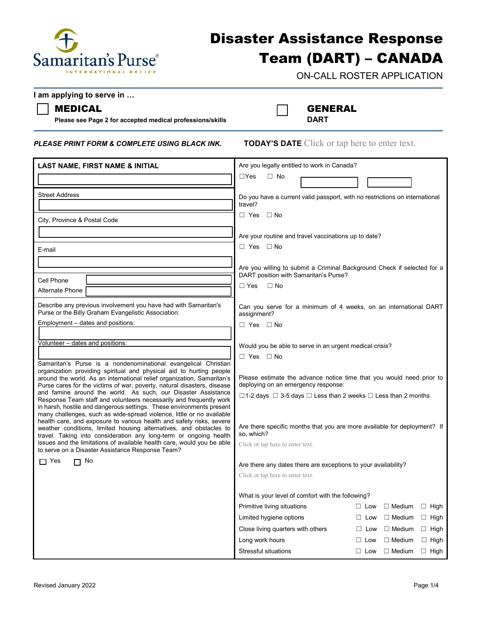

# Disaster Assistance Response Team (DART) – CANADA

ON-CALL ROSTER APPLICATION

**I am applying to serve in …** 

# MEDICALGENERAL

Please see Page 2 for accepted medical professions/skills **DART** 

*PLEASE PRINT FORM & COMPLETE USING BLACK INK.* **TODAY'S DATE** Click or tap here to enter text.

| <b>LAST NAME, FIRST NAME &amp; INITIAL</b>                                                                                                                                                                                                                                               | Are you legally entitled to work in Canada?                                                                      |                                                                                       |  |
|------------------------------------------------------------------------------------------------------------------------------------------------------------------------------------------------------------------------------------------------------------------------------------------|------------------------------------------------------------------------------------------------------------------|---------------------------------------------------------------------------------------|--|
|                                                                                                                                                                                                                                                                                          | $\Box$ Yes<br>$\Box$ No                                                                                          |                                                                                       |  |
| <b>Street Address</b>                                                                                                                                                                                                                                                                    | Do you have a current valid passport, with no restrictions on international<br>travel?                           |                                                                                       |  |
| City, Province & Postal Code                                                                                                                                                                                                                                                             | $\Box$ Yes $\Box$ No                                                                                             |                                                                                       |  |
|                                                                                                                                                                                                                                                                                          | Are your routine and travel vaccinations up to date?                                                             |                                                                                       |  |
| E-mail                                                                                                                                                                                                                                                                                   | □ Yes □ No                                                                                                       |                                                                                       |  |
| Cell Phone                                                                                                                                                                                                                                                                               | Are you willing to submit a Criminal Background Check if selected for a<br>DART position with Samaritan's Purse? |                                                                                       |  |
| Alternate Phone                                                                                                                                                                                                                                                                          | $\Box$ No<br>$\Box$ Yes                                                                                          |                                                                                       |  |
| Describe any previous involvement you have had with Samaritan's<br>Purse or the Billy Graham Evangelistic Association:                                                                                                                                                                   | Can you serve for a minimum of 4 weeks, on an international DART<br>assignment?                                  |                                                                                       |  |
| Employment - dates and positions:                                                                                                                                                                                                                                                        | $\Box$ Yes $\Box$ No                                                                                             |                                                                                       |  |
| Volunteer - dates and positions:                                                                                                                                                                                                                                                         | Would you be able to serve in an urgent medical crisis?                                                          |                                                                                       |  |
| Samaritan's Purse is a nondenominational evangelical Christian                                                                                                                                                                                                                           | $\Box$ Yes $\Box$ No                                                                                             |                                                                                       |  |
| organization providing spiritual and physical aid to hurting people<br>around the world. As an international relief organization, Samaritan's<br>Purse cares for the victims of war, poverty, natural disasters, disease                                                                 | Please estimate the advance notice time that you would need prior to<br>deploying on an emergency response:      |                                                                                       |  |
| and famine around the world. As such, our Disaster Assistance<br>Response Team staff and volunteers necessarily and frequently work<br>in harsh, hostile and dangerous settings. These environments present                                                                              | $\Box$ 1-2 days $\Box$ 3-5 days $\Box$ Less than 2 weeks $\Box$ Less than 2 months                               |                                                                                       |  |
| many challenges, such as wide-spread violence, little or no available<br>health care, and exposure to various health and safety risks, severe<br>weather conditions, limited housing alternatives, and obstacles to<br>travel. Taking into consideration any long-term or ongoing health | Are there specific months that you are more available for deployment? If<br>so, which?                           |                                                                                       |  |
| issues and the limitations of available health care, would you be able<br>to serve on a Disaster Assistance Response Team?                                                                                                                                                               | Click or tap here to enter text.                                                                                 |                                                                                       |  |
| $\Box$ Yes<br>$\Box$ No                                                                                                                                                                                                                                                                  |                                                                                                                  |                                                                                       |  |
|                                                                                                                                                                                                                                                                                          | Are there any dates there are exceptions to your availability?<br>Click or tap here to enter text.               |                                                                                       |  |
|                                                                                                                                                                                                                                                                                          |                                                                                                                  |                                                                                       |  |
|                                                                                                                                                                                                                                                                                          | What is your level of comfort with the following?                                                                |                                                                                       |  |
|                                                                                                                                                                                                                                                                                          | Primitive living situations                                                                                      | $\Box$ Medium<br>$\Box$ High<br>$\Box$ Low                                            |  |
|                                                                                                                                                                                                                                                                                          | Limited hygiene options                                                                                          | $\Box$ Medium $\Box$ High<br>$\Box$ Low                                               |  |
|                                                                                                                                                                                                                                                                                          | Close living quarters with others<br>Long work hours                                                             | $\Box$ Medium $\Box$ High<br>$\Box$ Low<br>$\Box$ Medium<br>$\Box$ High<br>$\Box$ Low |  |
|                                                                                                                                                                                                                                                                                          | Stressful situations                                                                                             | $\Box$ Low $\Box$ Medium $\Box$ High                                                  |  |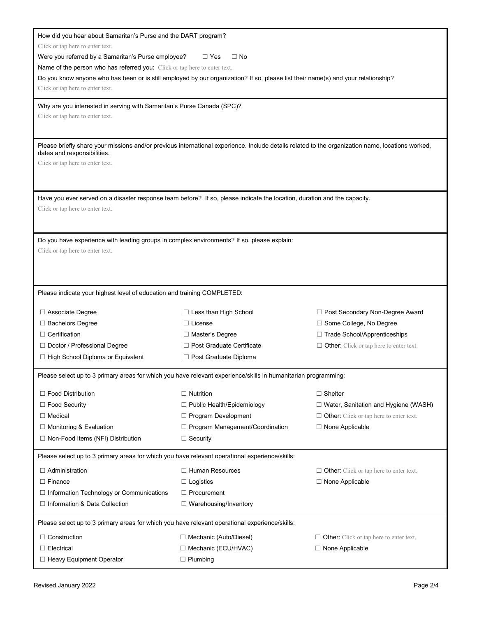| How did you hear about Samaritan's Purse and the DART program?                                                                                                                  |                                   |                                                |  |  |
|---------------------------------------------------------------------------------------------------------------------------------------------------------------------------------|-----------------------------------|------------------------------------------------|--|--|
| Click or tap here to enter text.                                                                                                                                                |                                   |                                                |  |  |
| Were you referred by a Samaritan's Purse employee?<br>$\Box$ Yes<br>$\Box$ No                                                                                                   |                                   |                                                |  |  |
| Name of the person who has referred you: Click or tap here to enter text.                                                                                                       |                                   |                                                |  |  |
| Do you know anyone who has been or is still employed by our organization? If so, please list their name(s) and your relationship?                                               |                                   |                                                |  |  |
| Click or tap here to enter text.                                                                                                                                                |                                   |                                                |  |  |
| Why are you interested in serving with Samaritan's Purse Canada (SPC)?                                                                                                          |                                   |                                                |  |  |
| Click or tap here to enter text.                                                                                                                                                |                                   |                                                |  |  |
|                                                                                                                                                                                 |                                   |                                                |  |  |
| Please briefly share your missions and/or previous international experience. Include details related to the organization name, locations worked,<br>dates and responsibilities. |                                   |                                                |  |  |
| Click or tap here to enter text.                                                                                                                                                |                                   |                                                |  |  |
|                                                                                                                                                                                 |                                   |                                                |  |  |
|                                                                                                                                                                                 |                                   |                                                |  |  |
| Have you ever served on a disaster response team before? If so, please indicate the location, duration and the capacity.<br>Click or tap here to enter text.                    |                                   |                                                |  |  |
|                                                                                                                                                                                 |                                   |                                                |  |  |
|                                                                                                                                                                                 |                                   |                                                |  |  |
| Do you have experience with leading groups in complex environments? If so, please explain:                                                                                      |                                   |                                                |  |  |
| Click or tap here to enter text.                                                                                                                                                |                                   |                                                |  |  |
|                                                                                                                                                                                 |                                   |                                                |  |  |
|                                                                                                                                                                                 |                                   |                                                |  |  |
|                                                                                                                                                                                 |                                   |                                                |  |  |
| Please indicate your highest level of education and training COMPLETED:                                                                                                         |                                   |                                                |  |  |
| □ Associate Degree                                                                                                                                                              | $\Box$ Less than High School      | □ Post Secondary Non-Degree Award              |  |  |
| □ Bachelors Degree                                                                                                                                                              | $\Box$ License                    | □ Some College, No Degree                      |  |  |
| $\Box$ Certification                                                                                                                                                            | $\Box$ Master's Degree            | □ Trade School/Apprenticeships                 |  |  |
| □ Doctor / Professional Degree                                                                                                                                                  | □ Post Graduate Certificate       | $\Box$ Other: Click or tap here to enter text. |  |  |
| □ High School Diploma or Equivalent                                                                                                                                             | □ Post Graduate Diploma           |                                                |  |  |
|                                                                                                                                                                                 |                                   |                                                |  |  |
| Please select up to 3 primary areas for which you have relevant experience/skills in humanitarian programming:                                                                  |                                   |                                                |  |  |
| □ Food Distribution                                                                                                                                                             | $\Box$ Nutrition                  | $\Box$ Shelter                                 |  |  |
| $\Box$ Food Security                                                                                                                                                            | □ Public Health/Epidemiology      | $\Box$ Water, Sanitation and Hygiene (WASH)    |  |  |
| $\Box$ Medical                                                                                                                                                                  | □ Program Development             | $\Box$ Other: Click or tap here to enter text. |  |  |
| $\Box$ Monitoring & Evaluation                                                                                                                                                  | □ Program Management/Coordination | $\Box$ None Applicable                         |  |  |
| □ Non-Food Items (NFI) Distribution                                                                                                                                             | $\Box$ Security                   |                                                |  |  |
|                                                                                                                                                                                 |                                   |                                                |  |  |
| Please select up to 3 primary areas for which you have relevant operational experience/skills:                                                                                  |                                   |                                                |  |  |
| $\Box$ Administration                                                                                                                                                           | $\Box$ Human Resources            | $\Box$ Other: Click or tap here to enter text. |  |  |
| $\Box$ Finance                                                                                                                                                                  | $\Box$ Logistics                  | $\Box$ None Applicable                         |  |  |
| □ Information Technology or Communications                                                                                                                                      | $\Box$ Procurement                |                                                |  |  |
| □ Information & Data Collection                                                                                                                                                 | $\Box$ Warehousing/Inventory      |                                                |  |  |
| Please select up to 3 primary areas for which you have relevant operational experience/skills:                                                                                  |                                   |                                                |  |  |
| $\Box$ Construction                                                                                                                                                             | □ Mechanic (Auto/Diesel)          | $\Box$ Other: Click or tap here to enter text. |  |  |
| $\Box$ Electrical                                                                                                                                                               | □ Mechanic (ECU/HVAC)             | □ None Applicable                              |  |  |
| □ Heavy Equipment Operator                                                                                                                                                      | $\Box$ Plumbing                   |                                                |  |  |
|                                                                                                                                                                                 |                                   |                                                |  |  |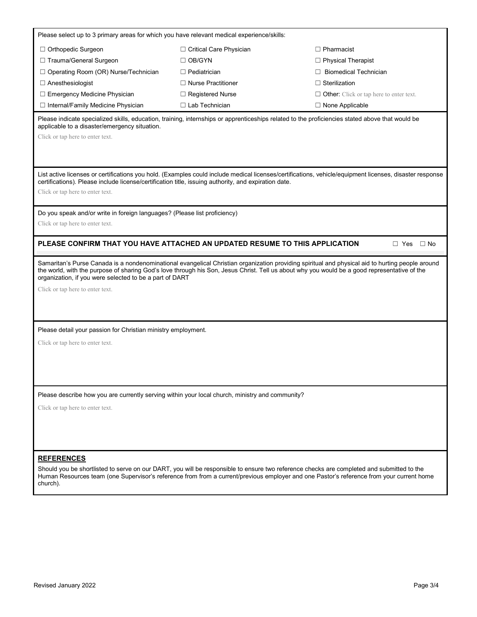Please select up to 3 primary areas for which you have relevant medical experience/skills: ☐ Orthopedic Surgeon ☐ Trauma/General Surgeon ☐ Operating Room (OR) Nurse/Technician ☐ Anesthesiologist ☐ Emergency Medicine Physician ☐ Internal/Family Medicine Physician □ Critical Care Physician ☐ OB/GYN ☐ Pediatrician ☐ Nurse Practitioner ☐ Registered Nurse □ Lab Technician ☐ Pharmacist ☐ Physical Therapist □ Biomedical Technician ☐ Sterilization □ Other: Click or tap here to enter text. ☐ None Applicable Please indicate specialized skills, education, training, internships or apprenticeships related to the proficiencies stated above that would be applicable to a disaster/emergency situation. Click or tap here to enter text. List active licenses or certifications you hold. (Examples could include medical licenses/certifications, vehicle/equipment licenses, disaster response certifications). Please include license/certification title, issuing authority, and expiration date. Click or tap here to enter text. Do you speak and/or write in foreign languages? (Please list proficiency) Click or tap here to enter text. **PLEASE CONFIRM THAT YOU HAVE ATTACHED AN UPDATED RESUME TO THIS APPLICATION □ Yes □ No** Samaritan's Purse Canada is a nondenominational evangelical Christian organization providing spiritual and physical aid to hurting people around the world, with the purpose of sharing God's love through his Son, Jesus Christ. Tell us about why you would be a good representative of the organization, if you were selected to be a part of DART Click or tap here to enter text. Please detail your passion for Christian ministry employment. Click or tap here to enter text. Please describe how you are currently serving within your local church, ministry and community? Click or tap here to enter text. **REFERENCES** Should you be shortlisted to serve on our DART, you will be responsible to ensure two reference checks are completed and submitted to the Human Resources team (one Supervisor's reference from from a current/previous employer and one Pastor's reference from your current home church).